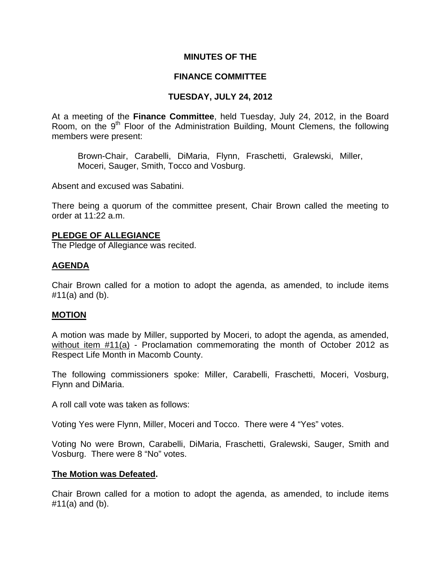### **MINUTES OF THE**

## **FINANCE COMMITTEE**

## **TUESDAY, JULY 24, 2012**

At a meeting of the **Finance Committee**, held Tuesday, July 24, 2012, in the Board Room, on the 9<sup>th</sup> Floor of the Administration Building, Mount Clemens, the following members were present:

Brown-Chair, Carabelli, DiMaria, Flynn, Fraschetti, Gralewski, Miller, Moceri, Sauger, Smith, Tocco and Vosburg.

Absent and excused was Sabatini.

There being a quorum of the committee present, Chair Brown called the meeting to order at 11:22 a.m.

### **PLEDGE OF ALLEGIANCE**

The Pledge of Allegiance was recited.

## **AGENDA**

Chair Brown called for a motion to adopt the agenda, as amended, to include items #11(a) and (b).

## **MOTION**

A motion was made by Miller, supported by Moceri, to adopt the agenda, as amended, without item #11(a) - Proclamation commemorating the month of October 2012 as Respect Life Month in Macomb County.

The following commissioners spoke: Miller, Carabelli, Fraschetti, Moceri, Vosburg, Flynn and DiMaria.

A roll call vote was taken as follows:

Voting Yes were Flynn, Miller, Moceri and Tocco. There were 4 "Yes" votes.

Voting No were Brown, Carabelli, DiMaria, Fraschetti, Gralewski, Sauger, Smith and Vosburg. There were 8 "No" votes.

### **The Motion was Defeated.**

Chair Brown called for a motion to adopt the agenda, as amended, to include items #11(a) and (b).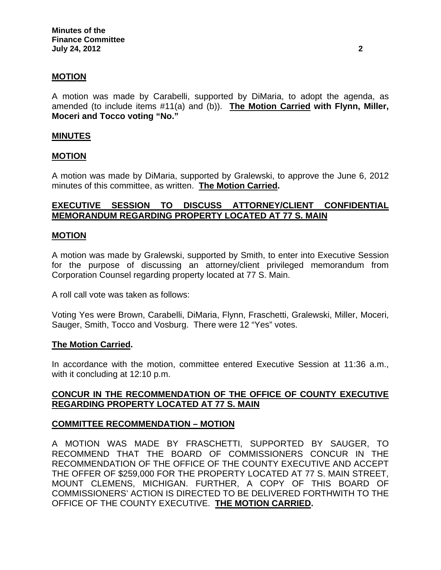### **MOTION**

A motion was made by Carabelli, supported by DiMaria, to adopt the agenda, as amended (to include items #11(a) and (b)). **The Motion Carried with Flynn, Miller, Moceri and Tocco voting "No."** 

### **MINUTES**

#### **MOTION**

A motion was made by DiMaria, supported by Gralewski, to approve the June 6, 2012 minutes of this committee, as written. **The Motion Carried.** 

## **EXECUTIVE SESSION TO DISCUSS ATTORNEY/CLIENT CONFIDENTIAL MEMORANDUM REGARDING PROPERTY LOCATED AT 77 S. MAIN**

#### **MOTION**

A motion was made by Gralewski, supported by Smith, to enter into Executive Session for the purpose of discussing an attorney/client privileged memorandum from Corporation Counsel regarding property located at 77 S. Main.

A roll call vote was taken as follows:

Voting Yes were Brown, Carabelli, DiMaria, Flynn, Fraschetti, Gralewski, Miller, Moceri, Sauger, Smith, Tocco and Vosburg. There were 12 "Yes" votes.

#### **The Motion Carried.**

In accordance with the motion, committee entered Executive Session at 11:36 a.m., with it concluding at 12:10 p.m.

### **CONCUR IN THE RECOMMENDATION OF THE OFFICE OF COUNTY EXECUTIVE REGARDING PROPERTY LOCATED AT 77 S. MAIN**

### **COMMITTEE RECOMMENDATION – MOTION**

A MOTION WAS MADE BY FRASCHETTI, SUPPORTED BY SAUGER, TO RECOMMEND THAT THE BOARD OF COMMISSIONERS CONCUR IN THE RECOMMENDATION OF THE OFFICE OF THE COUNTY EXECUTIVE AND ACCEPT THE OFFER OF \$259,000 FOR THE PROPERTY LOCATED AT 77 S. MAIN STREET, MOUNT CLEMENS, MICHIGAN. FURTHER, A COPY OF THIS BOARD OF COMMISSIONERS' ACTION IS DIRECTED TO BE DELIVERED FORTHWITH TO THE OFFICE OF THE COUNTY EXECUTIVE. **THE MOTION CARRIED.**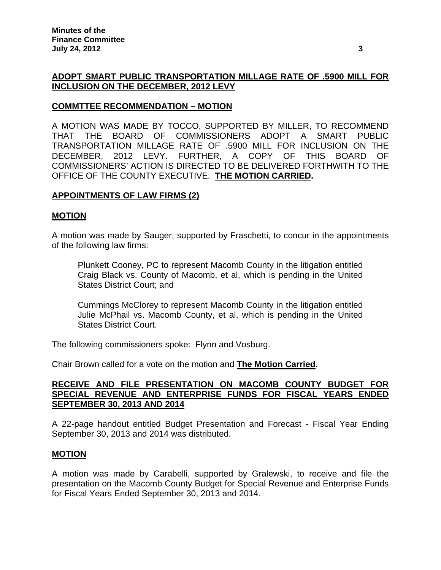# **ADOPT SMART PUBLIC TRANSPORTATION MILLAGE RATE OF .5900 MILL FOR INCLUSION ON THE DECEMBER, 2012 LEVY**

## **COMMTTEE RECOMMENDATION – MOTION**

A MOTION WAS MADE BY TOCCO, SUPPORTED BY MILLER, TO RECOMMEND THAT THE BOARD OF COMMISSIONERS ADOPT A SMART PUBLIC TRANSPORTATION MILLAGE RATE OF .5900 MILL FOR INCLUSION ON THE DECEMBER, 2012 LEVY. FURTHER, A COPY OF THIS BOARD OF COMMISSIONERS' ACTION IS DIRECTED TO BE DELIVERED FORTHWITH TO THE OFFICE OF THE COUNTY EXECUTIVE. **THE MOTION CARRIED.** 

# **APPOINTMENTS OF LAW FIRMS (2)**

### **MOTION**

A motion was made by Sauger, supported by Fraschetti, to concur in the appointments of the following law firms:

Plunkett Cooney, PC to represent Macomb County in the litigation entitled Craig Black vs. County of Macomb, et al, which is pending in the United States District Court; and

Cummings McClorey to represent Macomb County in the litigation entitled Julie McPhail vs. Macomb County, et al, which is pending in the United States District Court.

The following commissioners spoke: Flynn and Vosburg.

Chair Brown called for a vote on the motion and **The Motion Carried.** 

### **RECEIVE AND FILE PRESENTATION ON MACOMB COUNTY BUDGET FOR SPECIAL REVENUE AND ENTERPRISE FUNDS FOR FISCAL YEARS ENDED SEPTEMBER 30, 2013 AND 2014**

A 22-page handout entitled Budget Presentation and Forecast - Fiscal Year Ending September 30, 2013 and 2014 was distributed.

### **MOTION**

A motion was made by Carabelli, supported by Gralewski, to receive and file the presentation on the Macomb County Budget for Special Revenue and Enterprise Funds for Fiscal Years Ended September 30, 2013 and 2014.